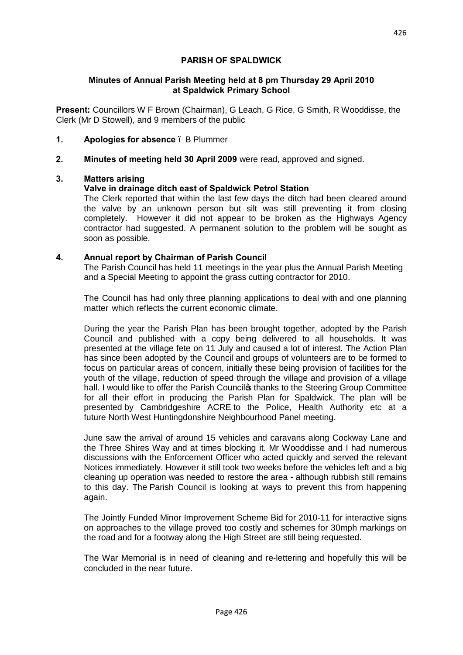# **PARISH OF SPALDWICK**

### **Minutes of Annual Parish Meeting held at 8 pm Thursday 29 April 2010 at Spaldwick Primary School**

**Present:** Councillors W F Brown (Chairman), G Leach, G Rice, G Smith, R Wooddisse, the Clerk (Mr D Stowell), and 9 members of the public

- **1. Apologies for absence**  B Plummer
- **2. Minutes of meeting held 30 April 2009** were read, approved and signed.

# **3. Matters arising**

# **Valve in drainage ditch east of Spaldwick Petrol Station**

The Clerk reported that within the last few days the ditch had been cleared around the valve by an unknown person but silt was still preventing it from closing completely. However it did not appear to be broken as the Highways Agency contractor had suggested. A permanent solution to the problem will be sought as soon as possible.

### **4. Annual report by Chairman of Parish Council**

The Parish Council has held 11 meetings in the year plus the Annual Parish Meeting and a Special Meeting to appoint the grass cutting contractor for 2010.

The Council has had only three planning applications to deal with and one planning matter which reflects the current economic climate.

During the year the Parish Plan has been brought together, adopted by the Parish Council and published with a copy being delivered to all households. It was presented at the village fete on 11 July and caused a lot of interest. The Action Plan has since been adopted by the Council and groups of volunteers are to be formed to focus on particular areas of concern, initially these being provision of facilities for the youth of the village, reduction of speed through the village and provision of a village hall. I would like to offer the Parish Councilos thanks to the Steering Group Committee for all their effort in producing the Parish Plan for Spaldwick. The plan will be presented by Cambridgeshire ACRE to the Police, Health Authority etc at a future North West Huntingdonshire Neighbourhood Panel meeting.

June saw the arrival of around 15 vehicles and caravans along Cockway Lane and the Three Shires Way and at times blocking it. Mr Wooddisse and I had numerous discussions with the Enforcement Officer who acted quickly and served the relevant Notices immediately. However it still took two weeks before the vehicles left and a big cleaning up operation was needed to restore the area - although rubbish still remains to this day. The Parish Council is looking at ways to prevent this from happening again.

The Jointly Funded Minor Improvement Scheme Bid for 2010-11 for interactive signs on approaches to the village proved too costly and schemes for 30mph markings on the road and for a footway along the High Street are still being requested.

The War Memorial is in need of cleaning and re-lettering and hopefully this will be concluded in the near future.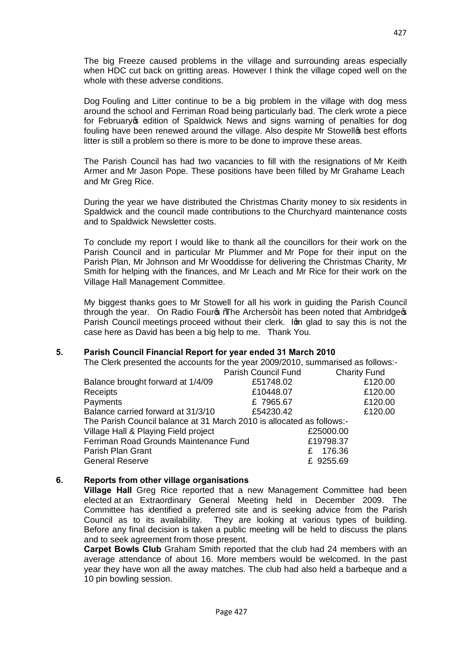The big Freeze caused problems in the village and surrounding areas especially when HDC cut back on gritting areas. However I think the village coped well on the whole with these adverse conditions.

Dog Fouling and Litter continue to be a big problem in the village with dog mess around the school and Ferriman Road being particularly bad. The clerk wrote a piece for February op edition of Spaldwick News and signs warning of penalties for dog fouling have been renewed around the village. Also despite Mr Stowellos best efforts litter is still a problem so there is more to be done to improve these areas.

The Parish Council has had two vacancies to fill with the resignations of Mr Keith Armer and Mr Jason Pope. These positions have been filled by Mr Grahame Leach and Mr Greg Rice.

During the year we have distributed the Christmas Charity money to six residents in Spaldwick and the council made contributions to the Churchyard maintenance costs and to Spaldwick Newsletter costs.

To conclude my report I would like to thank all the councillors for their work on the Parish Council and in particular Mr Plummer and Mr Pope for their input on the Parish Plan, Mr Johnson and Mr Wooddisse for delivering the Christmas Charity, Mr Smith for helping with the finances, and Mr Leach and Mr Rice for their work on the Village Hall Management Committee.

My biggest thanks goes to Mr Stowell for all his work in guiding the Parish Council through the year. On Radio Fours The Archers+it has been noted that Ambridges Parish Council meetings proceed without their clerk. Iom glad to say this is not the case here as David has been a big help to me. Thank You.

### **5. Parish Council Financial Report for year ended 31 March 2010**

The Clerk presented the accounts for the year 2009/2010, summarised as follows:-

|                                                                       | Parish Council Fund | <b>Charity Fund</b> |
|-----------------------------------------------------------------------|---------------------|---------------------|
| Balance brought forward at 1/4/09                                     | £51748.02           | £120.00             |
| Receipts                                                              | £10448.07           | £120.00             |
| Payments                                                              | £7965.67            | £120.00             |
| Balance carried forward at 31/3/10                                    | £54230.42           | £120.00             |
| The Parish Council balance at 31 March 2010 is allocated as follows:- |                     |                     |
| Village Hall & Playing Field project                                  |                     | £25000.00           |
| Ferriman Road Grounds Maintenance Fund                                |                     | £19798.37           |
| Parish Plan Grant                                                     | £.                  | 176.36              |
| <b>General Reserve</b>                                                |                     | £ 9255.69           |

### **6. Reports from other village organisations**

**Village Hall** Greg Rice reported that a new Management Committee had been elected at an Extraordinary General Meeting held in December 2009. The Committee has identified a preferred site and is seeking advice from the Parish Council as to its availability. They are looking at various types of building. Before any final decision is taken a public meeting will be held to discuss the plans and to seek agreement from those present.

**Carpet Bowls Club** Graham Smith reported that the club had 24 members with an average attendance of about 16. More members would be welcomed. In the past year they have won all the away matches. The club had also held a barbeque and a 10 pin bowling session.